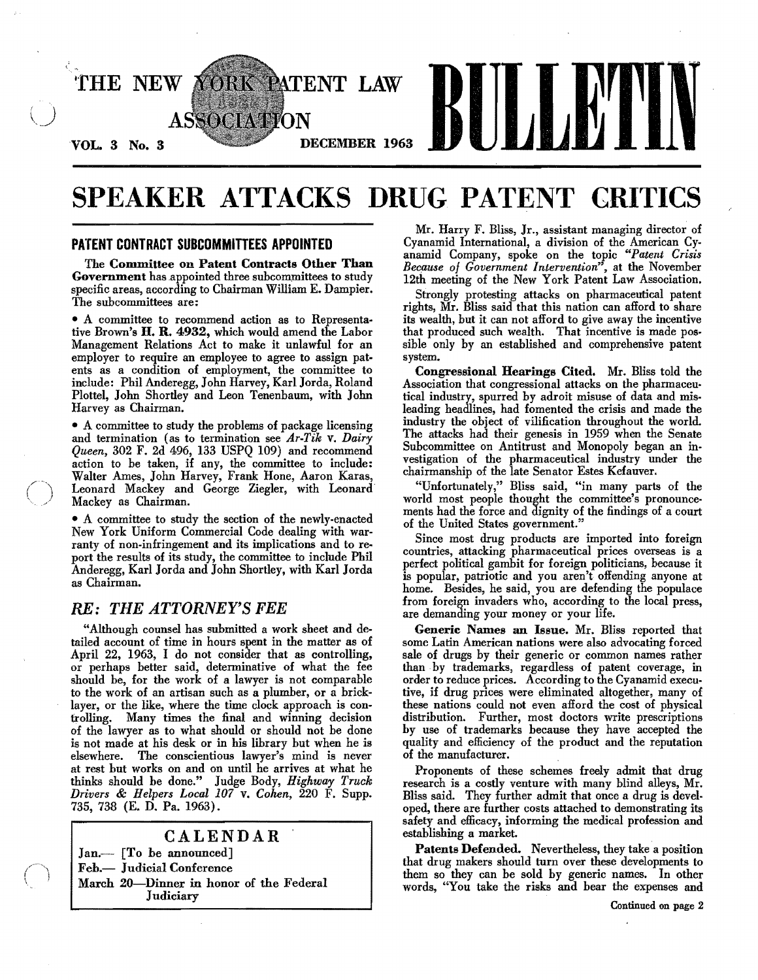

# SPEAKER ATTACKS DRUG PATENT CRITICS

### PATENT CONTRACT SUBCOMMITTEES APPOINTED

The Committee on Patent Contracts Other Than Government has appointed three subcommittees to study specific areas, according to Chairman William E. Dampier. The subcommittees are:

• A committee to recommend action as to Representa. tive Brown's H. R. 4932, which would amend the Labor Management Relations Act to make it unlawful for an employer to require an employee to agree to assign patents as a condition of employment, the committee to include: Phil Anderegg, John Harvey, Karl Jorda, Roland Plottel, John Shortley and Leon Tenenbaum, with John Harvey as Chairman.

• A committee to study the problems of package licensing and termination (as to termination see *Ar-Tik* v. *Dairy Queen,* 302 F. 2d 496, 133 USPQ 109) and recommend action to be taken, if any, the committee to include: Walter Ames, John Harvey, Frank Hone, Aaron Karas, Leonard Mackey and George Ziegler, with Leonard Mackey as Chairman.

• A committee to study the section of the newly-enacted New York Uniform Commercial Code dealing with warranty of non-infringement and its implications and to report the results of its study, the committee to include Phil Anderegg, Karl Jorda and John Shortley, with Karl Jorda as Chairman.

### *RE: THE ATTORNEY'S FEE*

"Although counsel has submitted a work sheet and detailed account of time in hours spent in the matter as of April 22, 1963, I do not consider that as controlling, or perhaps better said, determinative of what the fee should he, for the work of a lawyer is not comparahle to the work of an artisan such as a plumber, or a bricklayer, or the like, where the time clock approach is controlling. Many times the final and winning decision of the lawyer as to what should or should not he done is not made at his desk or in his library hut when he is elsewhere. The conscientious lawyer's mind is never at rest hut works on and on until he arrives at what he thinks should he done." Judge Body, *Highway Truck Drivers* & *Helpers Local 107* v. *Cohen,* 220 F. Supp. 735, 738 (E. D. Pa. 1963).

## CALENDAR  $Jan$ . [To be announced] Feb.- Judicial Conference March 20-Dinner in honor of the Federal Judiciary

Mr. Harry F. Bliss, Jr., assistant managing director of Cyanamid International, a division of the American Cyanamid Company, spoke on the topic *"Patent Crisis Because 01 Government Intervention",* at the November 12th meeting of the New York Patent Law Association.

Strongly protesting attacks on pharmaceutical patent rights, Mr. Bliss said that this nation can afford to share its wealth, but it can not afford to give away the incentive that produced such wealth. That incentive is made possible only by an estahlished and comprehensive patent system.

Congressional Hearings Cited. Mr. Bliss told the Association that congressional attacks on the pharmaceu. tical industry, spurred by adroit misuse of data and misleading headlines, had fomented the crisis and made the industry the ohject of vilification throughout the world. The attacks had their genesis in 1959 when the Senate Subcommittee on Antitrust and Monopoly began an investigation of the pharmaceutical industry under the chairmanship of the late Senator Estes Kefauver.

"Unfortunately," Bliss said, "in many parts of the world most people thought the committee's pronounce· ments had the force and dignity of the findings of a court of the United States government."

Since most drug products are imported into foreign countries, attacking pharmaceutical prices overseas is a perfect political gambit for foreign politicians, because it is popular, patriotic and you aren't offending anyone at home. Besides, he said, you are defending the populace from foreign invaders who, according to the local press, are demanding your money or your life.

Generic Names an Issue. Mr. Bliss reported that some Latin American nations were also advocating forced sale of drugs hy their generic or common names rather than by trademarks, regardless of patent coverage, in order to reduce prices. According to the Cyanamid executive, if drug prices were eliminated altogether, many of these nations could not even afford the cost of physical distribution. Further, most doctors write prescriptions hy use of trademarks becanse they have accepted the quality and efficiency of the product and the reputation of the manufacturer.

Proponents of these schemes freely admit that drug research is a costly venture with many blind alleys, Mr. Bliss said. They further admit that once a drug is devel· oped, there are further costs attached to demonstrating its safety and efficacy, informing the medical profession and estahlishing a market.

Patents Defended. Nevertheless, they take a position that drug makers should turn over these developments to them so they can be sold hy generic names. In other words, "You take the risks and hear the expenses and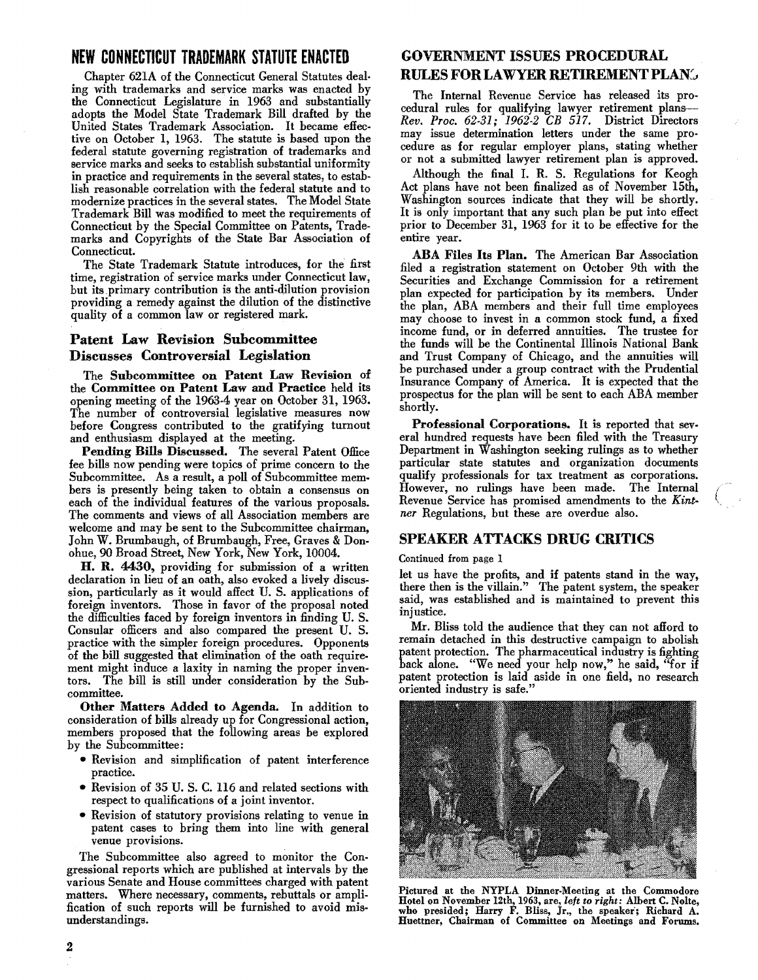## **NEW CONNECTICUT TRADEMARK STATUTE ENACTED**

Chapter 621A of the Connecticut General Statutes dealing with trademarks and service marks was enacted by the Connecticut Legislature in 1963 and substantially adopts the Model State Trademark Bill drafted by the United States Trademark Association. It became effective on October 1, 1963. The statute is based upon the federal statute governing registration of trademarks and service marks and seeks to establish substantial uniformity in practice and requirements in the several states, to establish reasonable correlation with the federal statute and to modernize practices in the several states. The Model State Trademark Bill was modified to meet the requirements of Connecticut by the Special Committee on Patents, Trade· marks and Copyrights of the State Bar Association of Connecticut.

The State Trademark Statute introduces, for the first time, registration of service marks under Connecticut law, but its primary contribution is the anti-dilution provision providing a remedy against the dilution of the distinctive quality of a common law or registered mark.

## Patent Law Revision Subcommittee Discusses Controversial Legislation

The Subcommittee on Patent Law Revision of the Committee on Patent Law and Practice held its opening meeting of the 1963·4 year ou October 31, 1963. The number of controversial legislative measures now before Congress contributed to the gratifying turnout and enthusiasm displayed at the meeting.

Pending Bills Discussed. The several Patent Office fee bills now pending were topics of prime concern to the Subcommittee. As a result, a poll of Subcommittee members is presently being taken to obtain a consensus on each of the individual features of the various proposals. The comments and views of all Association members are welcome and may be sent to the Subcommittee chairman, John W. Brumbaugh, of Brumbaugh, Free, Graves & Donohue, 90 Broad Street, New York, New York, 10004.

H. R. 4430, providing for submission of a written declaration in lieu of an oath, also evoked a lively discussion, particularly as it would affect U. S. applications of foreign inventors. Those in favor of the proposal noted the difficulties faced by foreign inventors in finding U. S. Consular officers and also compared the present U. S. practice with the simpler foreign procedures. Opponents of the bill suggested that elimination of the oath require. ment might induce a laxity in naming the proper inventors. The bill is still under consideration by the Sub· committee.

Other Matters Added to Agenda. In addition to consideration of bills already up for Congressional action, members proposed that the following areas be explored by the Subcommittee:

- Revision and simplification of patent interference practice.
- Revision of 35 U. S. C. 116 and related sections with respect to qualifications of a joint inventor.
- Revision of statutory provisions relating to venue in patent cases to bring them into line with general venue provisions.

The Subcommittee also agreed to monitor the Con· gressional reports which are published at intervals by the various Senate and House committees charged with patent matters. Where necessary, comments, rebuttals or ampli. fication of such reports will be furnished to avoid misunderstandings.

## GOVERNMENT ISSUES PROCEDURAL **RULES FOR LAWYER RETIREMENT PLAN**

The Internal Revenue Service has released its pro· cedural rules for qualifying lawyer retirement plans- *Rev. Proc.* 62.31; 1962-2 *CB* 517. District Directors may issue determination letters under the same pro· cedure as for regular employer plans, stating whether or not a submitted lawyer retirement plan is approved.

Although the final I. R. S. Regulations for Keogh Act plans have not been finalized as of November 15th, Washington sources indicate that they will be shortly. It is only important that any such plan be put into effect prior to December 31, 1963 for it to be effective for the entire year.

ABA Files Its Plan. The American Bar Association filed a registration statement on October 9th with the Securities and Exchange Commission for a retirement plan expected for participation by its members. Under the plan, ABA members and their full time employees may choose to invest in a common stock fund, a fixed income fund, or in deferred annuities. The trustee for the funds will be the Continental Illinois National Bank and Trust Company of Chicago, and the annuities will be purchased under a group contract with the Prudential Insurance Company of America. It is expected that the prospectus for the plan will be sent to each ABA member shortly.

Professional Corporations. It is reported that several hundred requests have been filed with the Treasury Department in Washington seeking rulings as to whether particular state statutes and organization documents qualify professionals for tax treatment as corporations. However, no rulings have been made. The Internal Revenue Service has promised amendments to the *Kint-* ( ner Regulations, but these are overdue also.

## SPEAKER ATTACKS DRUG CRITICS

#### Continued from page 1

let us have the profits, and if patents stand in the way, there then is the villain." The patent system, the speaker said, was established and is maintained to prevent this injustice.

Mr. Bliss told the audience that they can not afford to remain detached in this destructive campaign to abolish patent protection. The pharmaceutical industry is fighting back alone. "We need your help now," he said, "for if patent protection is laid aside in one field, no research oriented industry is safe."



Pictured at the NYPLA Dinner-Meeting at the Commodore Hotel on November 12th, 1963, are, *left to right:* Albert C. Nolte, who presided; Harry F. Bliss, Jr., the speaker; Richard A. Huettner, Chairman of Committee on Meetings and Forums.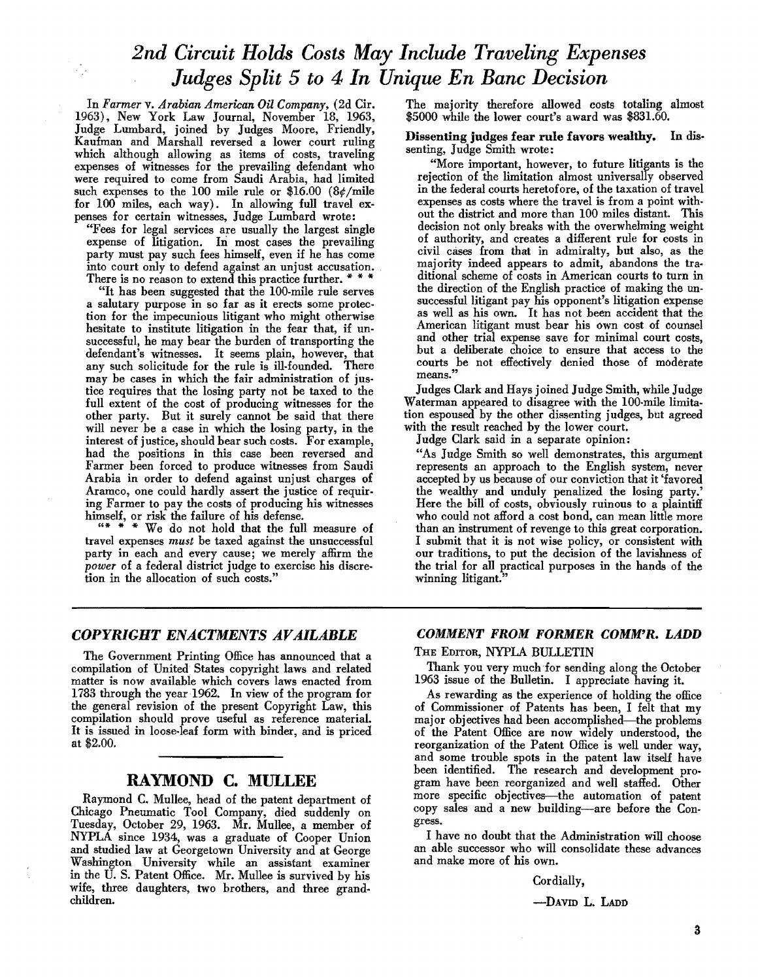## *2nd Circuit Holds Costs* May *Include Traveling Expenses Judges Split* 5 *to* 4 *In Unique En Banc Decision*

In *Farmer* v. *Arabian American Oil Company,* (2d Cir. 1963), New York Law Journal, November 18, 1963, Judge Lumbard, joined by Judges Moore, Friendly, Kaufman and Marshall reversed a lower court ruling which although allowing as items of costs, traveling expenses of witnesses for the prevailing defendant who were required to come from Saudi Arabia, had limited such expenses to the 100 mile rule or \$16.00 (8¢/mile for 100 miles, each way). In allowing full travel expenses for certain witnesses, Judge Lumbard wrote:

"Fees for legal services are usually the largest single expense of litigation. In most cases the prevailing party must pay such fees himself, even if he has come into court only to defend against an unjust accusation. There is no reason to extend this practice further. \* \* \*

"It has been suggested that the 100-mile rule serves a salutary purpose in so far as it erects some protection for the impecunious litigant who might otherwise hesitate to institute litigation in the fear that, if unsuccessful, he may bear the burden of transporting the defendant's witnesses. It seems plain, however, that any such solicitude for the rule is ill-founded. There may be cases in which the fair administration of justice requires that the losing party not be taxed to the full extent of the cost of producing witnesses for the other party. But it surely cannot be said that there will never be a case in which the losing party, in the interest of justice, should bear such costs. For example, had the positions in this case been reversed and Farmer been forced to produce witnesses from Saudi Arabia in order to defend against unjust charges of Aramco, one could hardly assert the justice of requiring Farmer to pay the costs of producing his witnesses

himself, or risk the failure of his defense.<br>
"\*\*\* We do not hold that the full measure of travel expenses *must* be taxed against the unsuccessful party in each and every cause; we merely affirm the *power* of a federal district judge to exercise his discretion in the allocation of such costs."

The majority therefore allowed costs totaling almost \$5000 while the lower court's award was \$831.60.

#### Dissenting judges fear rule favors wealthy. In dissenting, Judge Smith wrote:

"More important, however, to future litigants is the rejection of the limitation almost universally observed in the federal courts heretofore, of the taxation of travel expenses as costs where the travel is from a point without the district and more than 100 miles distant. This decision not only breaks with the overwhelming weight of authority, and creates a different rule for costs in civil cases from that in admiralty, but also, as the majority indeed appears to admit, abandons the traditional scheme of costs in American courts to turn in the direction of the English practice of making the unsuccessful litigant pay his opponent's litigation expense as well as his own. It has not been accident that the American litigant must bear his own cost of counsel and other trial expense save for minimal court costs, but a deliberate choice to ensure that access to the courts be not effectively denied those of moderate means.'

Judges Clark and Hays joined Judge Smith, while Judge Waterman appeared to disagree with the 100-mile limitation espoused by the other dissenting judges, but agreed with the result reached by the lower court.

Judge Clark said in a separate opinion:

"As Judge Smith so well demonstrates, this argument represents an approach to the English system, never accepted by us because of our conviction that it 'favored the wealthy and unduly penalized the losing party.' Here the bill of costs, obviously ruinous to a plaintiff who could not afford a cost bond, can mean little more than an instrument of revenge to this great corporation. I submit that it is not wise policy, or consistent with our traditions, to put the decision of the lavishness of the trial for all practical purposes in the hands of the winning litigant."

#### *COPYRIGHT ENACTMENTS AVAILABLE*

The Government Printing Office has announced that a compilation of United. States copyright laws and related matter is now available which covers laws enacted from 1783 through the year ·1962. In view of the program for the general revision of the present Copyright Law, this compilation should prove useful as reference material. It is issued in loose-leaf form with binder, and is priced at \$2.00.

## RAYMOND C. MULLEE

Raymond C. Mullee, head of the patent department of Chicago Pneumatic Tool Company, died suddenly on Tuesday, October 29, 1963. Mr. Mullee, a member of NYPLA since 1934, was a graduate of Cooper Union and studied law at Georgetown University and at George Washington University while an assistant examiner in the U. S. Patent Office. Mr. Mullee is survived by his wife, three daughters, two brothers, and three grandchildren.

#### COMMENT FROM FORMER COMM'R. LADD

#### THE EDITOR, NYPLA BULLETIN

Thank you very much for sending along the October 1963 issue of the Bulletin. I appreciate having it.

As rewarding as the experience of holding the office of Commissioner of Patents has been, I felt that my major objectives had been accomplished-the problems of the Patent Office are now widely understood, the reorganization of the Patent Office is well under way, and some trouble spots in the patent law itself have been identified. The research and development program have been reorganized and well staffed. Other more specific objectives---the automation of patent copy sales and a new building-are before the Congress.

I have no doubt that the Administration will choose an able successor who will consolidate these advances and make more of his own.

#### Cordially,

-DAVID L. LADD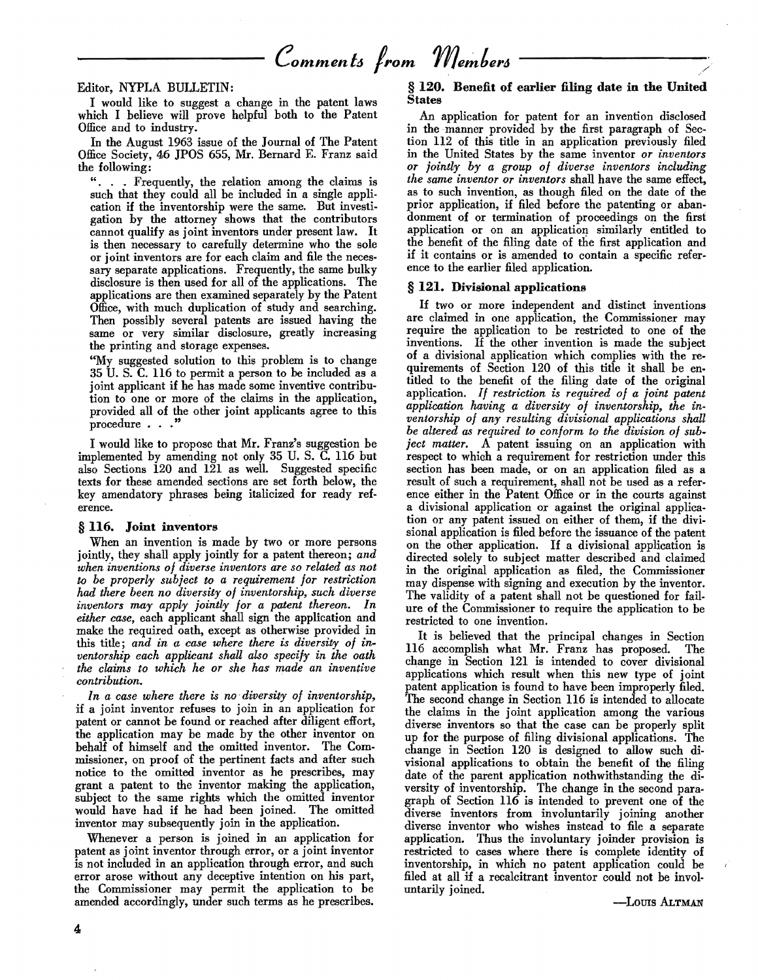Editor, NYPLA BULLETIN:

I would like to suggest a change in the patent laws which I believe will prove helpful both to the Patent Office and to industry.

In the August 1963 issue of the Journal of The Patent Office Society, 46 JPOS 655, Mr. Bernard E. Franz said the following:

. Frequently, the relation among the claims is such that they could all be included in a single appli· cation if the inventorship were the same. But investigation by the attorney shows that the contributors cannot qualify as joint inventors under present law. It is then necessary to carefully determine who the sole or joint inventors are for each claim and file the necessary separate applications. Frequently, the same bulky disclosure is then used for all of the applications. The applications are then examined separately by the Patent Office, with much duplication of study and searching. Then possibly several patents are issued having the same or very similar disclosure, greatly increasing the printing and storage expenses.

"My suggested solution to this problem is to change 35 U. S. C. 116 to permit a person to be included as a joint applicant if he has made some inventive contribution to one or more of the claims in the application, provided all of the other joint applicants agree to this procedure  $\ldots$ "

I would like to propose that Mr. Franz's suggestion be implemented by amending not only 35 U. S. C. 116 but also Sections 120 and 121 as well. Suggested specific texts for these amended sections are set forth below, the key amendatory phrases being italicized for ready reference.

#### § 116. Joint inventors

When an invention is made by two or more persons jointly, they shall apply jointly for a patent thereon; *and when inventions of diverse inventors are so related as not*  to *be properly subject to a requirement for restriction had there been no diversity of inventorship, such diverse inventors may apply jointly for a patent thereon. In either case,* each applicant shall sign the application and make the required oath, except as otherwise provided in this title; *and in a case where there is diversity of inventorship each applicant shaU also specify in the oath the claims to which he or she* has *made an inventive contribution.* 

*In a case where there is no· diversity of inventorship,*  if a joint inventor refuses to join in an application for patent or cannot be found or reached after diligent effort, the application may be made by the other inventor on behalf of himself and the omitted inventor. The Commissioner, on proof of the pertinent facts and after such notice to the omitted inventor as he prescribes, may grant a patent to the inventor making the application, subject to the same rights which the omitted inventor would have had if he had been joined. The omitted inventor may subsequently join in the application.

Whenever a person is joined in an application for patent as joint inventor through error, or a joint inventor is not included in an application through error, and such error arose without any deceptive intention on his part, the Commissioner may permit the application to be amended accordingly, under such terms as he prescribes.

#### § 120. Benefit of earlier filing date in the United States

An application for patent for an invention disclosed in the manner provided by the first paragraph of Section 112 of this title in an application previously filed in the United States by the same inventor *or inventors or jointly by a group of diverse inventors including the same inventor or inventors* shall have the same effect, as to such invention, as though filed on the date of the prior application, if filed before the patenting or abandonment of or termination of proceedings on the first application or on an application similarly entitled to the benefit of the filing date of the first application and if it contains or is amended to contain a specific reference to the earlier filed application.

#### § 121. Divisional applications

1£ two or more independent and distinct inventions are claimed in one application, the Commissioner may require the application to be restricted to one of the inventions. If the other invention is made the subject of a divisional application which complies with the requirements of Section 120 of this title it shall be entitled to the benefit of the filing date of the original application. *If restriction is required of a joint patent application having a diversity of inventorship, the inventorship of any resulting divisional applications shall be altered as required to conform to the division of subject matter.* A patent issuing on an application with respect to which a requirement for restriction under this section has been made, or on an application filed as a result of such a requirement, shall not be used as a reference either in the Patent Office or in the courts against a divisional application or against the original application or any patent issued on either of them, if the divisional application is filed before the issuance of the patent on the other application. If a divisional application is directed solely to subject matter described and claimed in the original application as filed, the Commissioner may dispense with signing and execution by the inventor. The validity of a patent shall not be questioned for failure of the Commissioner to require the application to be restricted to one invention.

It is believed that the principal changes in Section 116 accomplish what Mr. Franz has proposed. The change in Section 121 is intended to cover divisional applications which result when this new type of joint patent application is found to have been improperly filed. The second change in Section 116 is intended to allocate the claims in the joint application among the various diverse inventors so that the case can be properly split up for the purpose of filing divisional applications. The change in Section 120 is designed to allow such divisional applications to obtain the benefit of the filing date of the parent application nothwithstanding the diversity of inventorship. The change in the second paragraph of Section 116 is intended to prevent one of the diverse inventors from involuntarily joining another diverse inventor who wishes instead to file a separate application. Thus the involuntary joinder provision is restricted to cases where. there is complete identity of inventorship, in which no patent application could be filed at all if a recalcitrant inventor could not be involuntarily joined.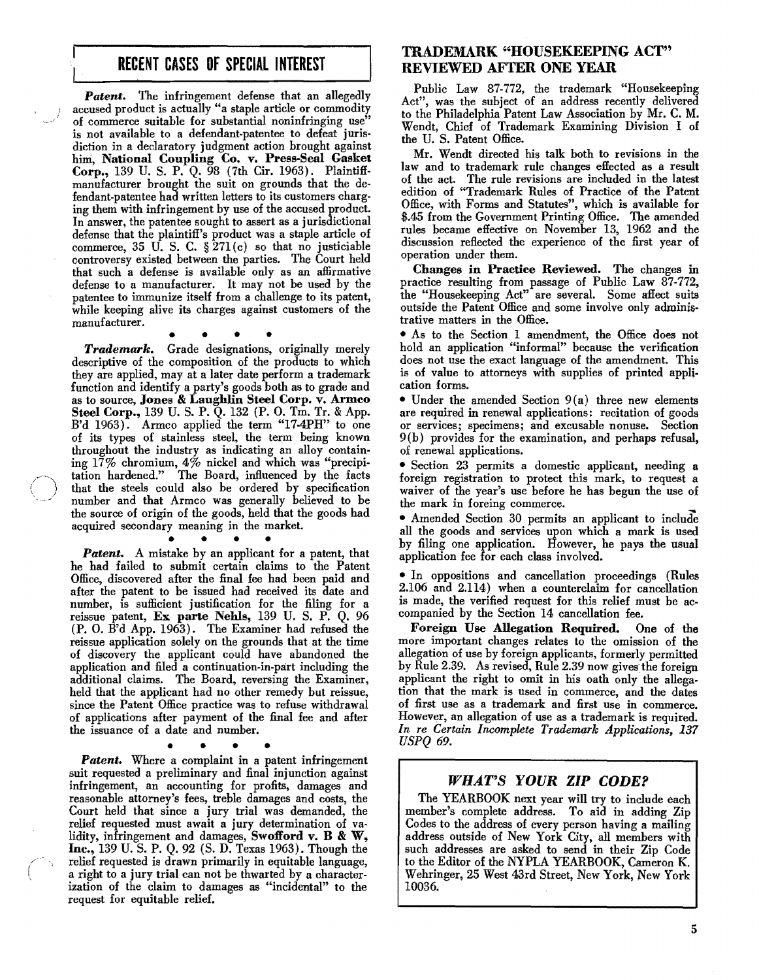## RECENT CASES OF SPECIAL INTEREST

*Patent.* The infringement defense that an allegedly accused product is actually "a staple article or commodity of commerce suitable for substantial noninfringing use" is not available to a defendant-patentee to defeat juris· diction in a declaratory judgment action brought against him, National Coupling Co. v. Press-Seal Gasket Corp., 139 U. S. P. Q. 98 (7th Cir. 1963). Plaintiff· manufacturer brought the suit on grounds that the defendant-patentee had written letters to its customers charg. ing them with infringement by use of the accused product. In answer, the patentee sought to assert as a jurisdictional defense that the plaintiff's product was a staple article of commerce, 35 U. S. C. § 271 (c) so that no justiciable controversy existed between the parties. The Court held that such a defense is available only as an affirmative defense to a manufacturer. It may not be used by the patentee to immunize itself from a challenge to its patent, while keeping alive its charges against customers of the manufacturer.

• • • •

*Trademark.* Grade designations, originally merely descriptive of the composition of the products to which they are applied, may at a later date perform a trademark function and identify a party's goods both as to grade and as to source, Jones & Laughlin Steel Corp. v. Armco Steel Corp., 139 U. S. P. Q. 132 (P. O. Tm. Tr. & App. B'd 1963). Armco applied the term "17·4PH" to one of its types of stainless steel, the term being known throughout the industry as indicating an alloy containing 17% chromium, 4% nickel and which was "precipi tation hardened." The Board, influenced by the facts that the steels could also be ordered by specification number and that Armco was generally believed to be the source of origin of the goods, held that the goods had acquired secondary meaning in the market.

**Patent.** A mistake by an applicant for a patent, that he had failed to submit certain claims to the Patent Office, discovered after the final fee had been paid and after the patent to be issued had received its date and number, is sufficient justification for the filing for a reissue patent, Ex parte Nehls, 139 U. S. P. Q. 96 (P. O. B'd App. 1963). The Examiner had refused the reissue application solely on the grounds that at the time of discovery the applicant could have abandoned the application and filed a continuation-in-part including the additional claims. The Board, reversing the Examiner, held that the applicant had no other remedy but reissue, since the Patent Office practice was to refuse withdrawal of applications after payment of the final fee and after the issuance of a date and number.

• • • • *Patent.* Where a complaint in a patent infringement suit requested a preliminary and final injunction against infringement, an accounting for profits, damages and reasonable attorney's fees, treble damages and costs, the Court held that since a jury trial was demanded, the relief requested must await a jury determination of validity, infringement and damages, Swofford v. B & W, Inc., 139 U. S. P. Q. 92 (S. D. Texas 1963). Though the relief requested is drawn primarily in equitable language, a right to a jury trial can not be thwarted by a characterization of the claim to damages as "incidental" to the request for equitable relief.

## TRADEMARK "HOUSEKEEPING ACT" REVIEWED AFTER ONE YEAR

Public Law 87·772, the trademark "Housekeeping Act", was the subject of an address recently delivered to the Philadelphia Patent Law Association by Mr. C. M. Wendt, Chief of Trademark Examining Division I of the U. S. Patent Office.

Mr. Wendt directed his talk both to revisions in the law and to trademark rule changes effected as a result of the act. The rule revisions are included in the latest edition of "Trademark Rules of Practice of the Patent Office, with Forms and Statutes", which is available for \$.45 from the Government Printing Office. The amended rules became effective On November 13, 1962 and the discussion reflected the experience of the first year of operation under them.

Changes in Practice Reviewed. The changes in practice resulting from passage of Public Law 87-772, the "Honsekeeping Act" are several. Some affect suits outside the Patent Office and some involve only administrative matters in the Office.

• As to the Section 1 amendment, the Office does not hold an application "informal" because the verification does not Use the exact language of the amendment. This is of value to attorneys with supplies of printed appli· cation forms.

• Under the amended Section 9(a) three new elements are required in renewal applications: recitation of goods or services; specimens; and excusable nonuse. Section 9(b) provides for the examination, and perhaps refusal, of renewal applications.

• Section 23 permits a domestic applicant, needing a foreign registration to protect this mark, to request a waiver of the year's use before he has begun the use of the mark in foreing commerce.

• Amended Section 30 permits an applicant to include all the goods and services upon which a mark is used by filing one application. However, he pays the usual application fee for each class involved.

• In oppositions and cancellation proceedings (Rules 2.106 and 2.114) when a counterclaim for cancellation is made, the verified request for this relief must be ac· companied by the Section 14 cancellation fee.

Foreign Use Allegation Required. One of the more important changes relates to the omission of the allegation of use by foreign applicants, formerly permitted by Rule 2.39. As revised, Rule 2.39 now gives the foreign applicant the right to omit in his oath only the allegation that the mark is used in commerce, and the dates of first use as a trademark and first use in commerce. However, an allegation of use as a trademark is required. *In re Certain Incomplete Trademark Applications, 137 USPQ 69.* 

## *WHAT'S YOUR ZIP CODE?*

The YEARBOOK next year will try to include each member's complete address. To aid in adding Zip Codes to the address of every person having a mailing address outside of New York City, all members with such addresses are asked to send in their Zip Code to the Editor of the NYPLA YEARBOOK, Cameron K. Wehringer, 25 West 43rd Street, New York, New York 10036.